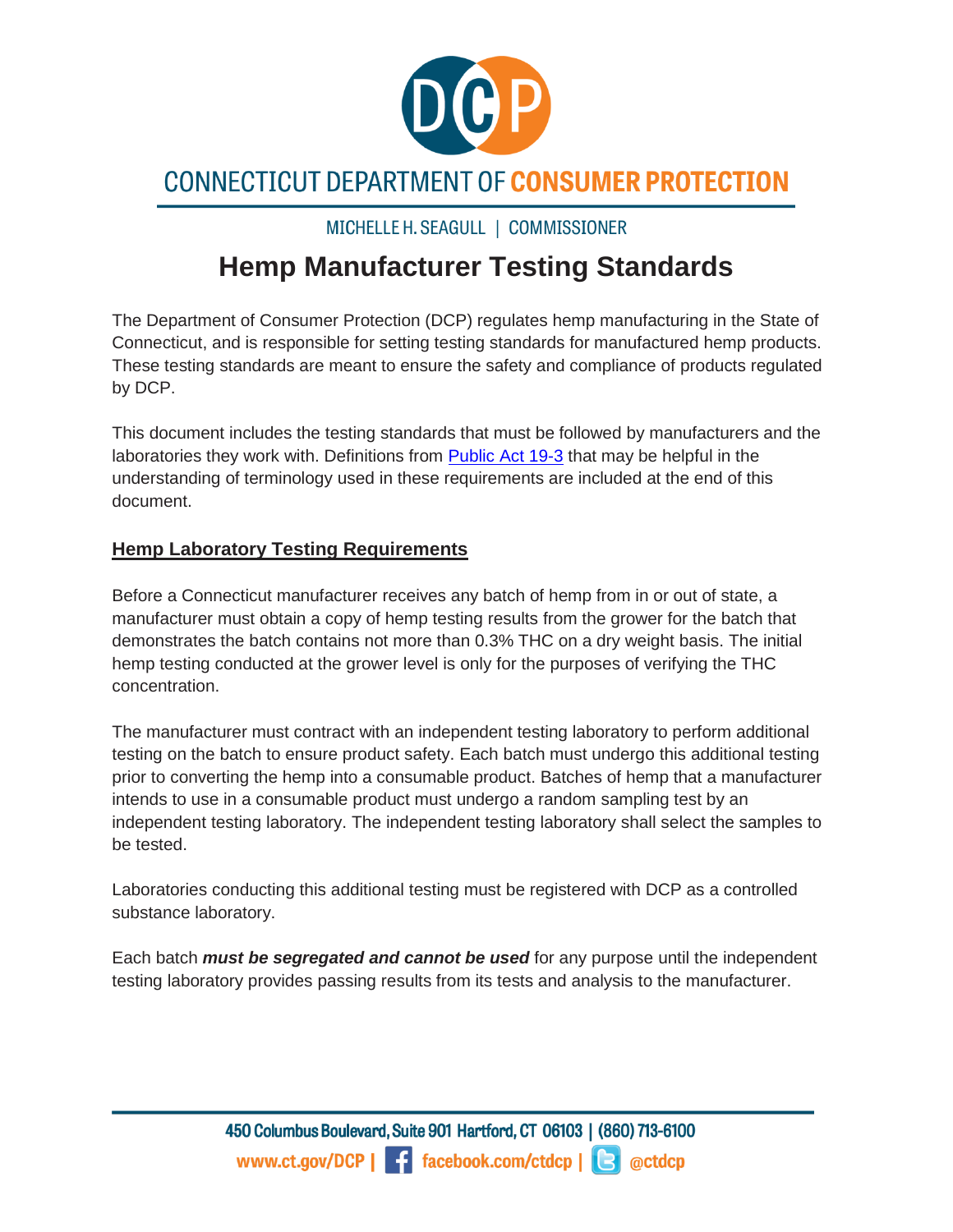

# **CONNECTICUT DEPARTMENT OF CONSUMER PROTECTION**

## MICHELLE H. SEAGULL | COMMISSIONER

# **Hemp Manufacturer Testing Standards**

The Department of Consumer Protection (DCP) regulates hemp manufacturing in the State of Connecticut, and is responsible for setting testing standards for manufactured hemp products. These testing standards are meant to ensure the safety and compliance of products regulated by DCP.

This document includes the testing standards that must be followed by manufacturers and the laboratories they work with. Definitions from [Public Act 19-3](https://www.cga.ct.gov/2019/ACT/pa/pdf/2019PA-00003-R00SB-00893-PA.pdf) that may be helpful in the understanding of terminology used in these requirements are included at the end of this document.

### **Hemp Laboratory Testing Requirements**

Before a Connecticut manufacturer receives any batch of hemp from in or out of state, a manufacturer must obtain a copy of hemp testing results from the grower for the batch that demonstrates the batch contains not more than 0.3% THC on a dry weight basis. The initial hemp testing conducted at the grower level is only for the purposes of verifying the THC concentration.

The manufacturer must contract with an independent testing laboratory to perform additional testing on the batch to ensure product safety. Each batch must undergo this additional testing prior to converting the hemp into a consumable product. Batches of hemp that a manufacturer intends to use in a consumable product must undergo a random sampling test by an independent testing laboratory. The independent testing laboratory shall select the samples to be tested.

Laboratories conducting this additional testing must be registered with DCP as a controlled substance laboratory.

Each batch *must be segregated and cannot be used* for any purpose until the independent testing laboratory provides passing results from its tests and analysis to the manufacturer.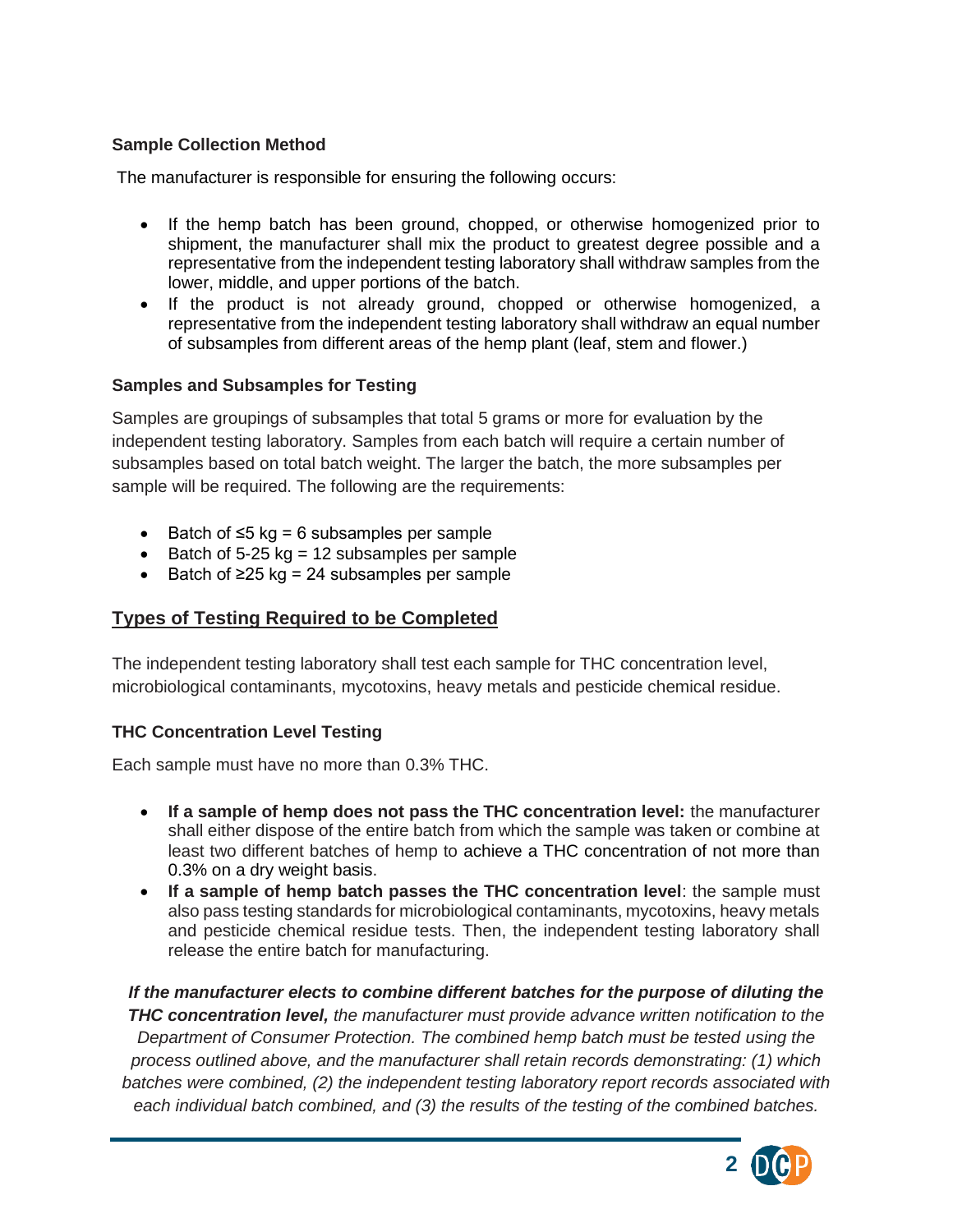#### **Sample Collection Method**

The manufacturer is responsible for ensuring the following occurs:

- If the hemp batch has been ground, chopped, or otherwise homogenized prior to shipment, the manufacturer shall mix the product to greatest degree possible and a representative from the independent testing laboratory shall withdraw samples from the lower, middle, and upper portions of the batch.
- If the product is not already ground, chopped or otherwise homogenized, a representative from the independent testing laboratory shall withdraw an equal number of subsamples from different areas of the hemp plant (leaf, stem and flower.)

#### **Samples and Subsamples for Testing**

Samples are groupings of subsamples that total 5 grams or more for evaluation by the independent testing laboratory. Samples from each batch will require a certain number of subsamples based on total batch weight. The larger the batch, the more subsamples per sample will be required. The following are the requirements:

- Batch of ≤5 kg = 6 subsamples per sample
- Batch of 5-25 kg = 12 subsamples per sample
- Batch of ≥25 kg = 24 subsamples per sample

#### **Types of Testing Required to be Completed**

The independent testing laboratory shall test each sample for THC concentration level, microbiological contaminants, mycotoxins, heavy metals and pesticide chemical residue.

#### **THC Concentration Level Testing**

Each sample must have no more than 0.3% THC.

- **If a sample of hemp does not pass the THC concentration level:** the manufacturer shall either dispose of the entire batch from which the sample was taken or combine at least two different batches of hemp to achieve a THC concentration of not more than 0.3% on a dry weight basis.
- **If a sample of hemp batch passes the THC concentration level**: the sample must also pass testing standards for microbiological contaminants, mycotoxins, heavy metals and pesticide chemical residue tests. Then, the independent testing laboratory shall release the entire batch for manufacturing.

*If the manufacturer elects to combine different batches for the purpose of diluting the THC concentration level, the manufacturer must provide advance written notification to the Department of Consumer Protection. The combined hemp batch must be tested using the process outlined above, and the manufacturer shall retain records demonstrating: (1) which batches were combined, (2) the independent testing laboratory report records associated with each individual batch combined, and (3) the results of the testing of the combined batches.*

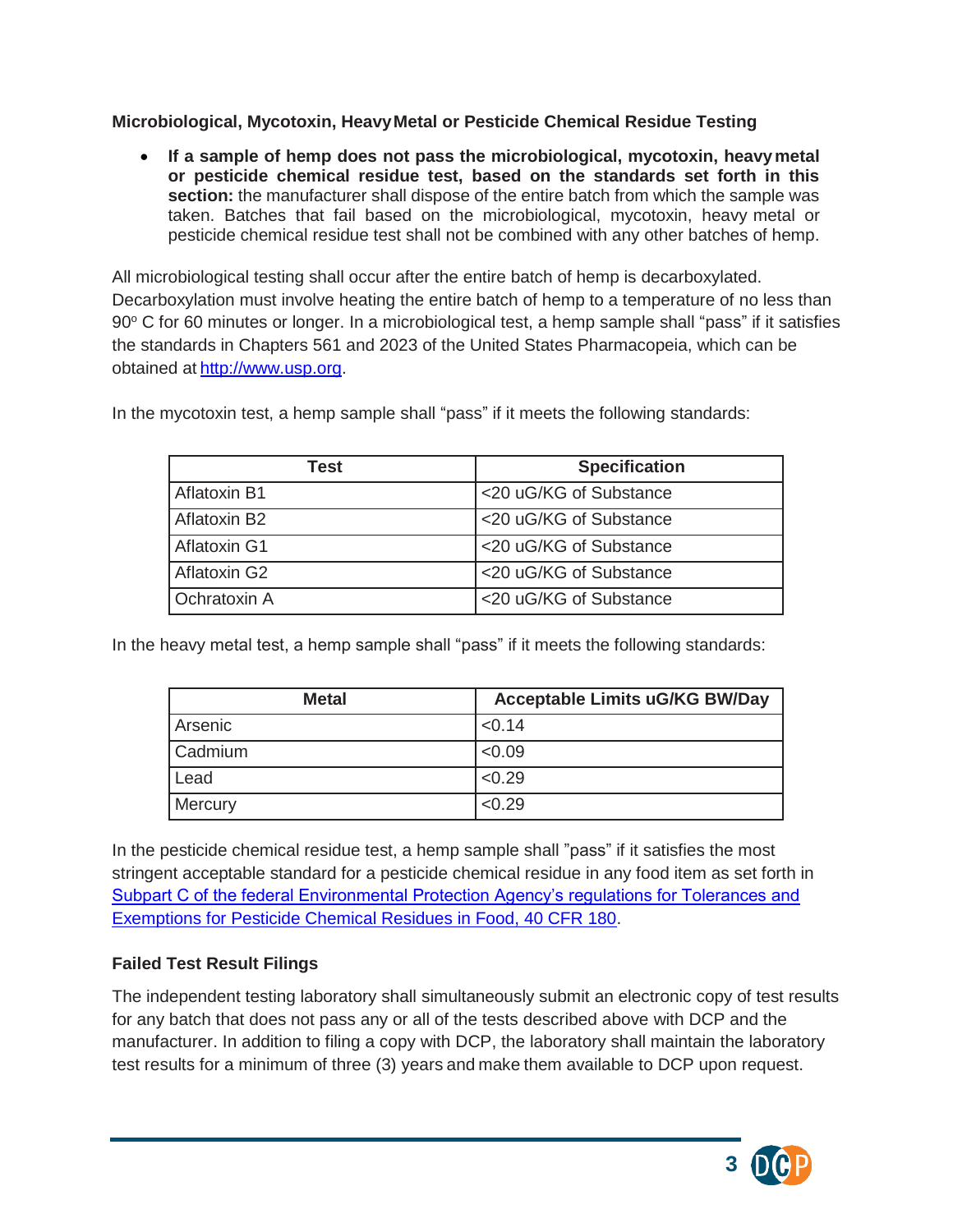#### **Microbiological, Mycotoxin, HeavyMetal or Pesticide Chemical Residue Testing**

• **If a sample of hemp does not pass the microbiological, mycotoxin, heavymetal or pesticide chemical residue test, based on the standards set forth in this section:** the manufacturer shall dispose of the entire batch from which the sample was taken. Batches that fail based on the microbiological, mycotoxin, heavy metal or pesticide chemical residue test shall not be combined with any other batches of hemp.

All microbiological testing shall occur after the entire batch of hemp is decarboxylated. Decarboxylation must involve heating the entire batch of hemp to a temperature of no less than 90° C for 60 minutes or longer. In a microbiological test, a hemp sample shall "pass" if it satisfies the standards in Chapters 561 and 2023 of the United States Pharmacopeia, which can be obtained at [http://www.usp.org.](http://www.usp.org/)

In the mycotoxin test, a hemp sample shall "pass" if it meets the following standards:

| Test                     | <b>Specification</b>   |
|--------------------------|------------------------|
| Aflatoxin B1             | <20 uG/KG of Substance |
| Aflatoxin B <sub>2</sub> | <20 uG/KG of Substance |
| Aflatoxin G1             | <20 uG/KG of Substance |
| Aflatoxin G2             | <20 uG/KG of Substance |
| <b>Ochratoxin A</b>      | <20 uG/KG of Substance |

In the heavy metal test, a hemp sample shall "pass" if it meets the following standards:

| <b>Metal</b> | <b>Acceptable Limits uG/KG BW/Day</b> |
|--------------|---------------------------------------|
| Arsenic      | < 0.14                                |
| Cadmium      | < 0.09                                |
| Lead         | < 0.29                                |
| Mercury      | < 0.29                                |

In the pesticide chemical residue test, a hemp sample shall "pass" if it satisfies the most stringent acceptable standard for a pesticide chemical residue in any food item as set forth in [Subpart C of the federal Environmental Protection Agency's regulations for Tolerances and](https://www.ecfr.gov/cgi-bin/text-idx?SID=b3a57009c7f8d265b94186217adeb551&mc=true&node=pt40.26.180&rgn=div5#sp40.26.180.c)  [Exemptions for Pesticide Chemical Residues in Food, 40 CFR 180.](https://www.ecfr.gov/cgi-bin/text-idx?SID=b3a57009c7f8d265b94186217adeb551&mc=true&node=pt40.26.180&rgn=div5#sp40.26.180.c)

### **Failed Test Result Filings**

The independent testing laboratory shall simultaneously submit an electronic copy of test results for any batch that does not pass any or all of the tests described above with DCP and the manufacturer. In addition to filing a copy with DCP, the laboratory shall maintain the laboratory test results for a minimum of three (3) years and make them available to DCP upon request.